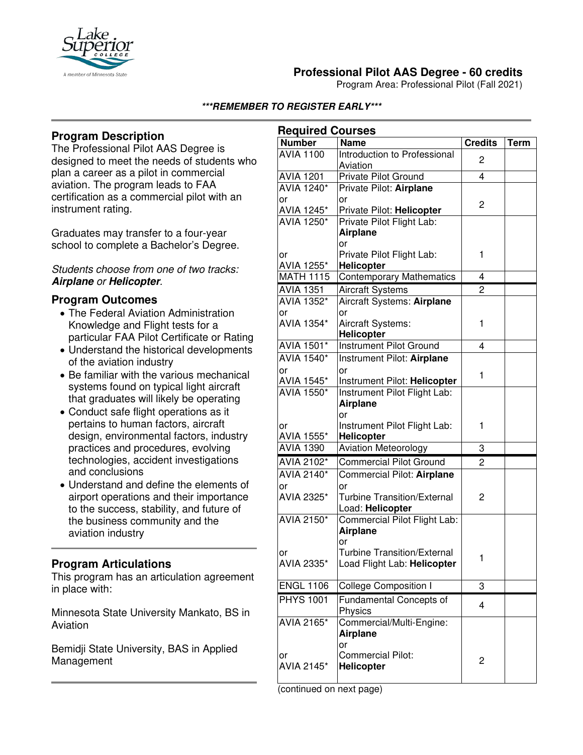

# **Professional Pilot AAS Degree - 60 credits**

Program Area: Professional Pilot (Fall 2021)

#### **\*\*\*REMEMBER TO REGISTER EARLY\*\*\***

## **Program Description**

The Professional Pilot AAS Degree is designed to meet the needs of students who plan a career as a pilot in commercial aviation. The program leads to FAA certification as a commercial pilot with an instrument rating.

Graduates may transfer to a four-year school to complete a Bachelor's Degree.

#### *Students choose from one of two tracks:*  **Airplane** *or* **Helicopter***.*

### **Program Outcomes**

- The Federal Aviation Administration Knowledge and Flight tests for a particular FAA Pilot Certificate or Rating
- Understand the historical developments of the aviation industry
- Be familiar with the various mechanical systems found on typical light aircraft that graduates will likely be operating
- Conduct safe flight operations as it pertains to human factors, aircraft design, environmental factors, industry practices and procedures, evolving technologies, accident investigations and conclusions
- Understand and define the elements of airport operations and their importance to the success, stability, and future of the business community and the aviation industry

## **Program Articulations**

This program has an articulation agreement in place with:

Minnesota State University Mankato, BS in Aviation

Bemidji State University, BAS in Applied Management

| <b>Required Courses</b>        |                                                  |                |             |  |
|--------------------------------|--------------------------------------------------|----------------|-------------|--|
| <b>Number</b>                  | <b>Name</b>                                      | <b>Credits</b> | <b>Term</b> |  |
| <b>AVIA 1100</b>               | Introduction to Professional<br>Aviation         | 2              |             |  |
| <b>AVIA 1201</b>               | Private Pilot Ground                             | $\overline{4}$ |             |  |
| AVIA 1240*                     | Private Pilot: Airplane                          |                |             |  |
| or                             | or                                               |                |             |  |
| AVIA 1245*                     | Private Pilot: Helicopter                        | 2              |             |  |
| <b>AVIA 1250*</b>              | Private Pilot Flight Lab:                        |                |             |  |
|                                | <b>Airplane</b>                                  |                |             |  |
|                                | or                                               |                |             |  |
| or                             | Private Pilot Flight Lab:                        | 1              |             |  |
| AVIA 1255*<br><b>MATH 1115</b> | Helicopter<br><b>Contemporary Mathematics</b>    | 4              |             |  |
|                                |                                                  |                |             |  |
| <b>AVIA 1351</b><br>AVIA 1352* | Aircraft Systems                                 | $\overline{2}$ |             |  |
| or                             | Aircraft Systems: Airplane<br>or                 |                |             |  |
| AVIA 1354*                     | Aircraft Systems:                                | 1              |             |  |
|                                | Helicopter                                       |                |             |  |
| AVIA 1501*                     | <b>Instrument Pilot Ground</b>                   | 4              |             |  |
| <b>AVIA 1540*</b>              | Instrument Pilot: Airplane                       |                |             |  |
| or                             | or                                               | 1              |             |  |
| AVIA 1545*                     | Instrument Pilot: Helicopter                     |                |             |  |
| <b>AVIA 1550*</b>              | Instrument Pilot Flight Lab:                     |                |             |  |
|                                | <b>Airplane</b>                                  |                |             |  |
|                                | or                                               |                |             |  |
| or<br>AVIA 1555*               | Instrument Pilot Flight Lab:                     | 1              |             |  |
| <b>AVIA 1390</b>               | <b>Helicopter</b><br><b>Aviation Meteorology</b> | 3              |             |  |
| <b>AVIA 2102*</b>              | Commercial Pilot Ground                          | $\overline{2}$ |             |  |
| AVIA 2140*                     |                                                  |                |             |  |
| or                             | Commercial Pilot: Airplane<br>or                 |                |             |  |
| AVIA 2325*                     | <b>Turbine Transition/External</b>               | 2              |             |  |
|                                | Load: Helicopter                                 |                |             |  |
| <b>AVIA 2150*</b>              | Commercial Pilot Flight Lab:                     |                |             |  |
|                                | <b>Airplane</b>                                  |                |             |  |
|                                | or                                               |                |             |  |
| υı                             | <b>Turbine Transition/External</b>               | 1              |             |  |
| AVIA 2335*                     | Load Flight Lab: Helicopter                      |                |             |  |
| <b>ENGL 1106</b>               | <b>College Composition I</b>                     | 3              |             |  |
| <b>PHYS 1001</b>               | Fundamental Concepts of                          |                |             |  |
|                                | Physics                                          | $\overline{4}$ |             |  |
| AVIA 2165*                     | Commercial/Multi-Engine:                         |                |             |  |
|                                | <b>Airplane</b>                                  |                |             |  |
|                                | or                                               |                |             |  |
| or<br>AVIA 2145*               | <b>Commercial Pilot:</b><br><b>Helicopter</b>    | $\overline{c}$ |             |  |
|                                |                                                  |                |             |  |

(continued on next page)